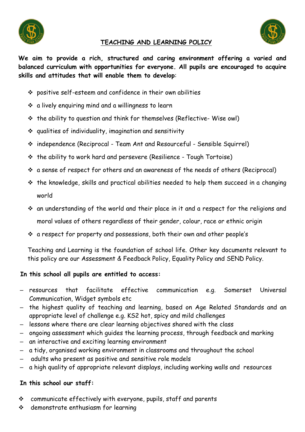



## **TEACHING AND LEARNING POLICY**

**We aim to provide a rich, structured and caring environment offering a varied and balanced curriculum with opportunities for everyone. All pupils are encouraged to acquire skills and attitudes that will enable them to develop**:

- $\div$  positive self-esteem and confidence in their own abilities
- $\cdot$  a lively enquiring mind and a willingness to learn
- $\cdot \cdot$  the ability to question and think for themselves (Reflective-Wise owl)
- qualities of individuality, imagination and sensitivity
- independence (Reciprocal Team Ant and Resourceful Sensible Squirrel)
- $\cdot$  the ability to work hard and persevere (Resilience Tough Tortoise)
- a sense of respect for others and an awareness of the needs of others (Reciprocal)
- $\hat{P}$  the knowledge, skills and practical abilities needed to help them succeed in a changing world
- an understanding of the world and their place in it and a respect for the religions and moral values of others regardless of their gender, colour, race or ethnic origin
- a respect for property and possessions, both their own and other people's

Teaching and Learning is the foundation of school life. Other key documents relevant to this policy are our Assessment & Feedback Policy, Equality Policy and SEND Policy.

#### **In this school all pupils are entitled to access:**

- resources that facilitate effective communication e.g. Somerset Universal Communication, Widget symbols etc
- the highest quality of teaching and learning, based on Age Related Standards and an appropriate level of challenge e.g. KS2 hot, spicy and mild challenges
- lessons where there are clear learning objectives shared with the class
- ongoing assessment which guides the learning process, through feedback and marking
- an interactive and exciting learning environment
- a tidy, organised working environment in classrooms and throughout the school
- adults who present as positive and sensitive role models
- a high quality of appropriate relevant displays, including working walls and resources

#### **In this school our staff:**

- communicate effectively with everyone, pupils, staff and parents
- demonstrate enthusiasm for learning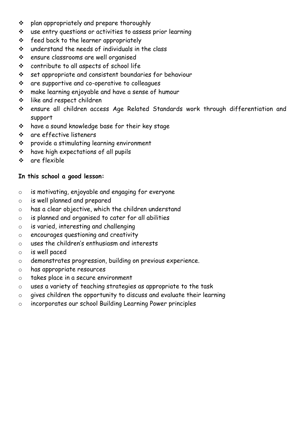- $\div$  plan appropriately and prepare thoroughly
- use entry questions or activities to assess prior learning
- $\div$  feed back to the learner appropriately
- understand the needs of individuals in the class
- ensure classrooms are well organised
- contribute to all aspects of school life
- set appropriate and consistent boundaries for behaviour
- are supportive and co-operative to colleagues
- make learning enjoyable and have a sense of humour
- like and respect children
- ensure all children access Age Related Standards work through differentiation and support
- have a sound knowledge base for their key stage
- are effective listeners
- provide a stimulating learning environment
- have high expectations of all pupils
- are flexible

## **In this school a good lesson:**

- o is motivating, enjoyable and engaging for everyone
- o is well planned and prepared
- o has a clear objective, which the children understand
- o is planned and organised to cater for all abilities
- o is varied, interesting and challenging
- o encourages questioning and creativity
- o uses the children's enthusiasm and interests
- o is well paced
- o demonstrates progression, building on previous experience.
- o has appropriate resources
- o takes place in a secure environment
- o uses a variety of teaching strategies as appropriate to the task
- o gives children the opportunity to discuss and evaluate their learning
- o incorporates our school Building Learning Power principles